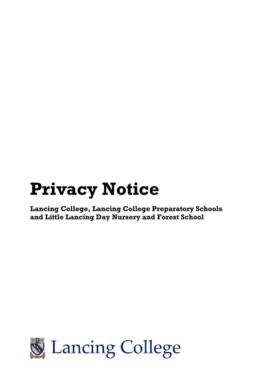# **Privacy Notice**

**Lancing College, Lancing College Preparatory Schools and Little Lancing Day Nursery and Forest School**

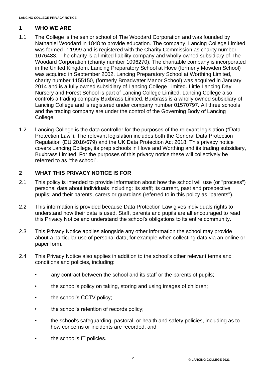## **1 WHO WE ARE**

- 1.1 The College is the senior school of The Woodard Corporation and was founded by Nathaniel Woodard in 1848 to provide education. The company, Lancing College Limited, was formed in 1999 and is registered with the Charity Commission as charity number 1076483. The charity is a limited liability company and wholly owned subsidiary of The Woodard Corporation (charity number 1096270). The charitable company is incorporated in the United Kingdom. Lancing Preparatory School at Hove (formerly Mowden School) was acquired in September 2002. Lancing Preparatory School at Worthing Limited, charity number 1155150, (formerly Broadwater Manor School) was acquired in January 2014 and is a fully owned subsidiary of Lancing College Limited. Little Lancing Day Nursery and Forest School is part of Lancing College Limited. Lancing College also controls a trading company Buxbrass Limited. Buxbrass is a wholly owned subsidiary of Lancing College and is registered under company number 01570797. All three schools and the trading company are under the control of the Governing Body of Lancing College.
- 1.2 Lancing College is the data controller for the purposes of the relevant legislation ("Data Protection Law"). The relevant legislation includes both the General Data Protection Regulation (EU 2016/679) and the UK Data Protection Act 2018. This privacy notice covers Lancing College, its prep schools in Hove and Worthing and its trading subsidiary, Buxbrass Limited. For the purposes of this privacy notice these will collectively be referred to as "the school".

## **2 WHAT THIS PRIVACY NOTICE IS FOR**

- 2.1 This policy is intended to provide information about how the school will use (or "process") personal data about individuals including: its staff; its current, past and prospective pupils; and their parents, carers or guardians (referred to in this policy as "parents").
- 2.2 This information is provided because Data Protection Law gives individuals rights to understand how their data is used. Staff, parents and pupils are all encouraged to read this Privacy Notice and understand the school's obligations to its entire community.
- 2.3 This Privacy Notice applies alongside any other information the school may provide about a particular use of personal data, for example when collecting data via an online or paper form.
- 2.4 This Privacy Notice also applies in addition to the school's other relevant terms and conditions and policies, including:
	- any contract between the school and its staff or the parents of pupils;
	- the school's policy on taking, storing and using images of children;
	- the school's CCTV policy;
	- the school's retention of records policy;
	- the school's safeguarding, pastoral, or health and safety policies, including as to how concerns or incidents are recorded; and
	- the school's IT policies.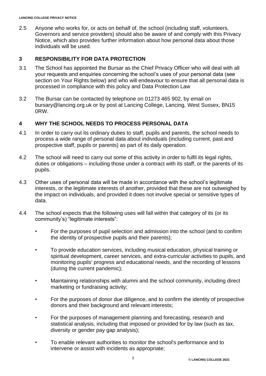2.5 Anyone who works for, or acts on behalf of, the school (including staff, volunteers, Governors and service providers) should also be aware of and comply with this Privacy Notice, which also provides further information about how personal data about those individuals will be used.

## **3 RESPONSIBILITY FOR DATA PROTECTION**

- 3.1 The School has appointed the Bursar as the Chief Privacy Officer who will deal with all your requests and enquiries concerning the school's uses of your personal data (see section on Your Rights below) and who will endeavour to ensure that all personal data is processed in compliance with this policy and Data Protection Law
- 3.2 The Bursar can be contacted by telephone on 01273 465 902, by email on bursary@lancing.org.uk or by post at Lancing College, Lancing, West Sussex, BN15 0RW.

## **4 WHY THE SCHOOL NEEDS TO PROCESS PERSONAL DATA**

- 4.1 In order to carry out its ordinary duties to staff, pupils and parents, the school needs to process a wide range of personal data about individuals (including current, past and prospective staff, pupils or parents) as part of its daily operation.
- 4.2 The school will need to carry out some of this activity in order to fulfil its legal rights, duties or obligations – including those under a contract with its staff, or the parents of its pupils.
- 4.3 Other uses of personal data will be made in accordance with the school's legitimate interests, or the legitimate interests of another, provided that these are not outweighed by the impact on individuals, and provided it does not involve special or sensitive types of data.
- 4.4 The school expects that the following uses will fall within that category of its (or its community's) "legitimate interests":
	- For the purposes of pupil selection and admission into the school (and to confirm the identity of prospective pupils and their parents);
	- To provide education services, including musical education, physical training or spiritual development, career services, and extra-curricular activities to pupils, and monitoring pupils' progress and educational needs, and the recording of lessons (during the current pandemic);
	- Maintaining relationships with alumni and the school community, including direct marketing or fundraising activity;
	- For the purposes of donor due diligence, and to confirm the identity of prospective donors and their background and relevant interests;
	- For the purposes of management planning and forecasting, research and statistical analysis, including that imposed or provided for by law (such as tax, diversity or gender pay gap analysis);
	- To enable relevant authorities to monitor the school's performance and to intervene or assist with incidents as appropriate;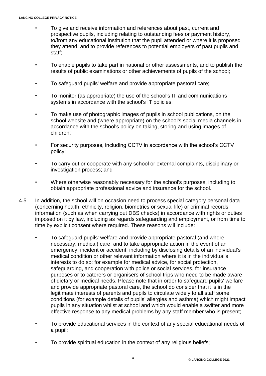- To give and receive information and references about past, current and prospective pupils, including relating to outstanding fees or payment history, to/from any educational institution that the pupil attended or where it is proposed they attend; and to provide references to potential employers of past pupils and staff;
- To enable pupils to take part in national or other assessments, and to publish the results of public examinations or other achievements of pupils of the school;
- To safeguard pupils' welfare and provide appropriate pastoral care;
- To monitor (as appropriate) the use of the school's IT and communications systems in accordance with the school's IT policies;
- To make use of photographic images of pupils in school publications, on the school website and (where appropriate) on the school's social media channels in accordance with the school's policy on taking, storing and using images of children;
- For security purposes, including CCTV in accordance with the school's CCTV policy;
- To carry out or cooperate with any school or external complaints, disciplinary or investigation process; and
- Where otherwise reasonably necessary for the school's purposes, including to obtain appropriate professional advice and insurance for the school.
- 4.5 In addition, the school will on occasion need to process special category personal data (concerning health, ethnicity, religion, biometrics or sexual life) or criminal records information (such as when carrying out DBS checks) in accordance with rights or duties imposed on it by law, including as regards safeguarding and employment, or from time to time by explicit consent where required. These reasons will include:
	- To safeguard pupils' welfare and provide appropriate pastoral (and where necessary, medical) care, and to take appropriate action in the event of an emergency, incident or accident, including by disclosing details of an individual's medical condition or other relevant information where it is in the individual's interests to do so: for example for medical advice, for social protection, safeguarding, and cooperation with police or social services, for insurance purposes or to caterers or organisers of school trips who need to be made aware of dietary or medical needs. Please note that in order to safeguard pupils' welfare and provide appropriate pastoral care, the school do consider that it is in the legitimate interests of parents and pupils to circulate widely to all staff some conditions (for example details of pupils' allergies and asthma) which might impact pupils in any situation whilst at school and which would enable a swifter and more effective response to any medical problems by any staff member who is present;
	- To provide educational services in the context of any special educational needs of a pupil;
	- To provide spiritual education in the context of any religious beliefs;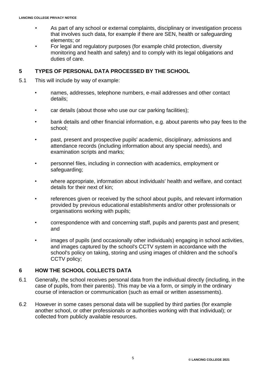- As part of any school or external complaints, disciplinary or investigation process that involves such data, for example if there are SEN, health or safeguarding elements; or
- For legal and regulatory purposes (for example child protection, diversity monitoring and health and safety) and to comply with its legal obligations and duties of care.

#### **5 TYPES OF PERSONAL DATA PROCESSED BY THE SCHOOL**

- 5.1 This will include by way of example:
	- names, addresses, telephone numbers, e-mail addresses and other contact details;
	- car details (about those who use our car parking facilities);
	- bank details and other financial information, e.g. about parents who pay fees to the school;
	- past, present and prospective pupils' academic, disciplinary, admissions and attendance records (including information about any special needs), and examination scripts and marks;
	- personnel files, including in connection with academics, employment or safeguarding;
	- where appropriate, information about individuals' health and welfare, and contact details for their next of kin;
	- references given or received by the school about pupils, and relevant information provided by previous educational establishments and/or other professionals or organisations working with pupils;
	- correspondence with and concerning staff, pupils and parents past and present; and
	- images of pupils (and occasionally other individuals) engaging in school activities, and images captured by the school's CCTV system in accordance with the school's policy on taking, storing and using images of children and the school's CCTV policy;

## **6 HOW THE SCHOOL COLLECTS DATA**

- 6.1 Generally, the school receives personal data from the individual directly (including, in the case of pupils, from their parents). This may be via a form, or simply in the ordinary course of interaction or communication (such as email or written assessments).
- 6.2 However in some cases personal data will be supplied by third parties (for example another school, or other professionals or authorities working with that individual); or collected from publicly available resources.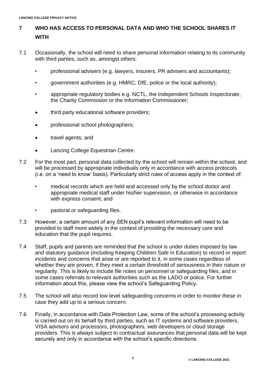# **7 WHO HAS ACCESS TO PERSONAL DATA AND WHO THE SCHOOL SHARES IT WITH**

- 7.1 Occasionally, the school will need to share personal information relating to its community with third parties, such as, amongst others:
	- professional advisers (e.g. lawyers, insurers, PR advisers and accountants);
	- government authorities (e.g. HMRC, DfE, police or the local authority);
	- appropriate regulatory bodies e.g. NCTL, the Independent Schools Inspectorate, the Charity Commission or the Information Commissioner;
	- third party educational software providers;
	- professional school photographers;
	- travel agents; and
	- Lancing College Equestrian Centre.
- 7.2 For the most part, personal data collected by the school will remain within the school, and will be processed by appropriate individuals only in accordance with access protocols (i.e. on a 'need to know' basis). Particularly strict rules of access apply in the context of:
	- medical records which are held and accessed only by the school doctor and appropriate medical staff under his/her supervision, or otherwise in accordance with express consent; and
	- pastoral or safeguarding files.
- 7.3 However, a certain amount of any SEN pupil's relevant information will need to be provided to staff more widely in the context of providing the necessary care and education that the pupil requires.
- 7.4 Staff, pupils and parents are reminded that the school is under duties imposed by law and statutory guidance (including Keeping Children Safe in Education) to record or report incidents and concerns that arise or are reported to it, in some cases regardless of whether they are proven, if they meet a certain threshold of seriousness in their nature or regularity. This is likely to include file notes on personnel or safeguarding files, and in some cases referrals to relevant authorities such as the LADO or police. For further information about this, please view the school's Safeguarding Policy.
- 7.5 The school will also record low level safeguarding concerns in order to monitor these in case they add up to a serious concern.
- 7.6 Finally, in accordance with Data Protection Law, some of the school's processing activity is carried out on its behalf by third parties, such as IT systems and software providers, VISA advisors and processors, photographers, web developers or cloud storage providers. This is always subject to contractual assurances that personal data will be kept securely and only in accordance with the school's specific directions.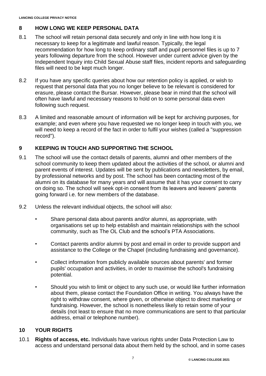# **8 HOW LONG WE KEEP PERSONAL DATA**

- 8.1 The school will retain personal data securely and only in line with how long it is necessary to keep for a legitimate and lawful reason. Typically, the legal recommendation for how long to keep ordinary staff and pupil personnel files is up to 7 years following departure from the school. However under current advice given by the Independent Inquiry into Child Sexual Abuse staff files, incident reports and safeguarding files will need to be kept much longer.
- 8.2 If you have any specific queries about how our retention policy is applied, or wish to request that personal data that you no longer believe to be relevant is considered for erasure, please contact the Bursar. However, please bear in mind that the school will often have lawful and necessary reasons to hold on to some personal data even following such request.
- 8.3 A limited and reasonable amount of information will be kept for archiving purposes, for example; and even where you have requested we no longer keep in touch with you, we will need to keep a record of the fact in order to fulfil your wishes (called a "suppression record").

## **9 KEEPING IN TOUCH AND SUPPORTING THE SCHOOL**

- 9.1 The school will use the contact details of parents, alumni and other members of the school community to keep them updated about the activities of the school, or alumni and parent events of interest. Updates will be sent by publications and newsletters, by email, by professional networks and by post. The school has been contacting most of the alumni on its database for many years and will assume that it has your consent to carry on doing so. The school will seek opt-in consent from its leavers and leavers' parents going forward i.e. for new members of the database.
- 9.2 Unless the relevant individual objects, the school will also:
	- Share personal data about parents and/or alumni, as appropriate, with organisations set up to help establish and maintain relationships with the school community, such as The OL Club and the school's PTA Associations.
	- Contact parents and/or alumni by post and email in order to provide support and assistance to the College or the Chapel (including fundraising and governance).
	- Collect information from publicly available sources about parents' and former pupils' occupation and activities, in order to maximise the school's fundraising potential.
	- Should you wish to limit or object to any such use, or would like further information about them, please contact the Foundation Office in writing. You always have the right to withdraw consent, where given, or otherwise object to direct marketing or fundraising. However, the school is nonetheless likely to retain some of your details (not least to ensure that no more communications are sent to that particular address, email or telephone number).

## **10 YOUR RIGHTS**

10.1 **Rights of access, etc.** Individuals have various rights under Data Protection Law to access and understand personal data about them held by the school, and in some cases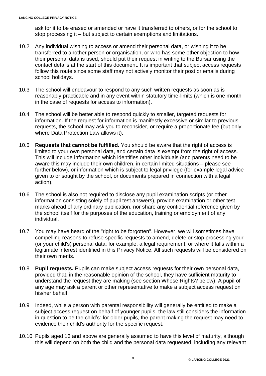ask for it to be erased or amended or have it transferred to others, or for the school to stop processing it – but subject to certain exemptions and limitations.

- 10.2 Any individual wishing to access or amend their personal data, or wishing it to be transferred to another person or organisation, or who has some other objection to how their personal data is used, should put their request in writing to the Bursar using the contact details at the start of this document. It is important that subject access requests follow this route since some staff may not actively monitor their post or emails during school holidays.
- 10.3 The school will endeavour to respond to any such written requests as soon as is reasonably practicable and in any event within statutory time-limits (which is one month in the case of requests for access to information).
- 10.4 The school will be better able to respond quickly to smaller, targeted requests for information. If the request for information is manifestly excessive or similar to previous requests, the school may ask you to reconsider, or require a proportionate fee (but only where Data Protection Law allows it).
- 10.5 **Requests that cannot be fulfilled.** You should be aware that the right of access is limited to your own personal data, and certain data is exempt from the right of access. This will include information which identifies other individuals (and parents need to be aware this may include their own children, in certain limited situations – please see further below), or information which is subject to legal privilege (for example legal advice given to or sought by the school, or documents prepared in connection with a legal action).
- 10.6 The school is also not required to disclose any pupil examination scripts (or other information consisting solely of pupil test answers), provide examination or other test marks ahead of any ordinary publication, nor share any confidential reference given by the school itself for the purposes of the education, training or employment of any individual.
- 10.7 You may have heard of the "right to be forgotten". However, we will sometimes have compelling reasons to refuse specific requests to amend, delete or stop processing your (or your child's) personal data: for example, a legal requirement, or where it falls within a legitimate interest identified in this Privacy Notice. All such requests will be considered on their own merits.
- 10.8 **Pupil requests.** Pupils can make subject access requests for their own personal data, provided that, in the reasonable opinion of the school, they have sufficient maturity to understand the request they are making (see section Whose Rights? below). A pupil of any age may ask a parent or other representative to make a subject access request on his/her behalf.
- 10.9 Indeed, while a person with parental responsibility will generally be entitled to make a subject access request on behalf of younger pupils, the law still considers the information in question to be the child's: for older pupils, the parent making the request may need to evidence their child's authority for the specific request.
- 10.10 Pupils aged 13 and above are generally assumed to have this level of maturity, although this will depend on both the child and the personal data requested, including any relevant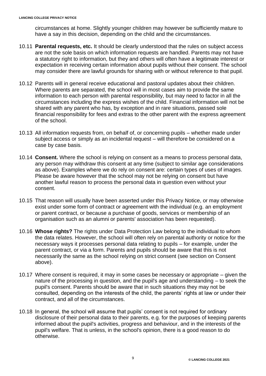circumstances at home. Slightly younger children may however be sufficiently mature to have a say in this decision, depending on the child and the circumstances.

- 10.11 **Parental requests, etc.** It should be clearly understood that the rules on subject access are not the sole basis on which information requests are handled. Parents may not have a statutory right to information, but they and others will often have a legitimate interest or expectation in receiving certain information about pupils without their consent. The school may consider there are lawful grounds for sharing with or without reference to that pupil.
- 10.12 Parents will in general receive educational and pastoral updates about their children. Where parents are separated, the school will in most cases aim to provide the same information to each person with parental responsibility, but may need to factor in all the circumstances including the express wishes of the child. Financial information will not be shared with any parent who has, by exception and in rare situations, passed sole financial responsibility for fees and extras to the other parent with the express agreement of the school.
- 10.13 All information requests from, on behalf of, or concerning pupils whether made under subject access or simply as an incidental request – will therefore be considered on a case by case basis.
- 10.14 **Consent.** Where the school is relying on consent as a means to process personal data, any person may withdraw this consent at any time (subject to similar age considerations as above). Examples where we do rely on consent are: certain types of uses of images. Please be aware however that the school may not be relying on consent but have another lawful reason to process the personal data in question even without your consent.
- 10.15 That reason will usually have been asserted under this Privacy Notice, or may otherwise exist under some form of contract or agreement with the individual (e.g. an employment or parent contract, or because a purchase of goods, services or membership of an organisation such as an alumni or parents' association has been requested).
- 10.16 **Whose rights?** The rights under Data Protection Law belong to the individual to whom the data relates. However, the school will often rely on parental authority or notice for the necessary ways it processes personal data relating to pupils – for example, under the parent contract, or via a form. Parents and pupils should be aware that this is not necessarily the same as the school relying on strict consent (see section on Consent above).
- 10.17 Where consent is required, it may in some cases be necessary or appropriate given the nature of the processing in question, and the pupil's age and understanding – to seek the pupil's consent. Parents should be aware that in such situations they may not be consulted, depending on the interests of the child, the parents' rights at law or under their contract, and all of the circumstances.
- 10.18 In general, the school will assume that pupils' consent is not required for ordinary disclosure of their personal data to their parents, e.g. for the purposes of keeping parents informed about the pupil's activities, progress and behaviour, and in the interests of the pupil's welfare. That is unless, in the school's opinion, there is a good reason to do otherwise.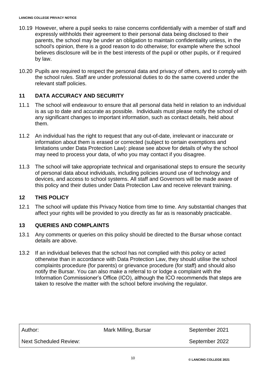- 10.19 However, where a pupil seeks to raise concerns confidentially with a member of staff and expressly withholds their agreement to their personal data being disclosed to their parents, the school may be under an obligation to maintain confidentiality unless, in the school's opinion, there is a good reason to do otherwise; for example where the school believes disclosure will be in the best interests of the pupil or other pupils, or if required by law.
- 10.20 Pupils are required to respect the personal data and privacy of others, and to comply with the school rules. Staff are under professional duties to do the same covered under the relevant staff policies.

# **11 DATA ACCURACY AND SECURITY**

- 11.1 The school will endeavour to ensure that all personal data held in relation to an individual is as up to date and accurate as possible. Individuals must please notify the school of any significant changes to important information, such as contact details, held about them.
- 11.2 An individual has the right to request that any out-of-date, irrelevant or inaccurate or information about them is erased or corrected (subject to certain exemptions and limitations under Data Protection Law): please see above for details of why the school may need to process your data, of who you may contact if you disagree.
- 11.3 The school will take appropriate technical and organisational steps to ensure the security of personal data about individuals, including policies around use of technology and devices, and access to school systems. All staff and Governors will be made aware of this policy and their duties under Data Protection Law and receive relevant training.

# **12 THIS POLICY**

12.1 The school will update this Privacy Notice from time to time. Any substantial changes that affect your rights will be provided to you directly as far as is reasonably practicable.

# **13 QUERIES AND COMPLAINTS**

- 13.1 Any comments or queries on this policy should be directed to the Bursar whose contact details are above.
- 13.2 If an individual believes that the school has not complied with this policy or acted otherwise than in accordance with Data Protection Law, they should utilise the school complaints procedure (for parents) or grievance procedure (for staff) and should also notify the Bursar. You can also make a referral to or lodge a complaint with the Information Commissioner's Office (ICO), although the ICO recommends that steps are taken to resolve the matter with the school before involving the regulator.

| Author:                | Mark Milling, Bursar | September 2021 |
|------------------------|----------------------|----------------|
| Next Scheduled Review: |                      | September 2022 |